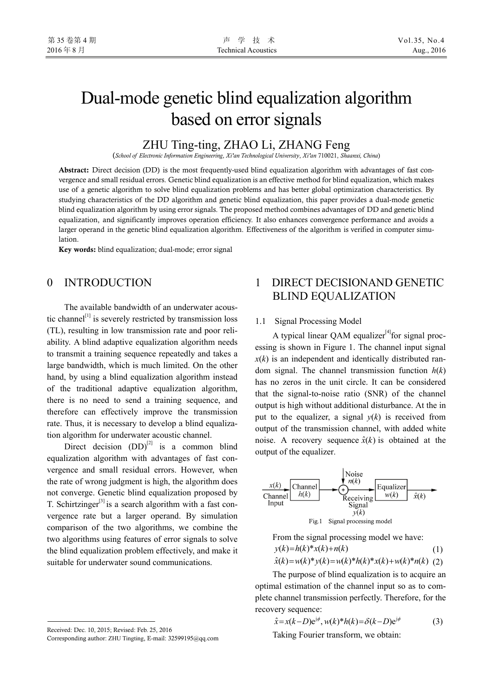## Dual-mode genetic blind equalization algorithm based on error signals

## ZHU Ting-ting, ZHAO Li, ZHANG Feng

(*School of Electronic Information Engineering*, *Xi'an Technological University*, *Xi'an* 710021, *Shaanxi, China*)

Abstract: Direct decision (DD) is the most frequently-used blind equalization algorithm with advantages of fast convergence and small residual errors. Genetic blind equalization is an effective method for blind equalization, which makes use of a genetic algorithm to solve blind equalization problems and has better global optimization characteristics. By studying characteristics of the DD algorithm and genetic blind equalization, this paper provides a dual-mode genetic blind equalization algorithm by using error signals. The proposed method combines advantages of DD and genetic blind equalization, and significantly improves operation efficiency. It also enhances convergence performance and avoids a larger operand in the genetic blind equalization algorithm. Effectiveness of the algorithm is verified in computer simulation.

Key words: blind equalization; dual-mode; error signal

## 0 INTRODUCTION

The available bandwidth of an underwater acoustic channel<sup>[1]</sup> is severely restricted by transmission loss (TL), resulting in low transmission rate and poor reliability. A blind adaptive equalization algorithm needs to transmit a training sequence repeatedly and takes a large bandwidth, which is much limited. On the other hand, by using a blind equalization algorithm instead of the traditional adaptive equalization algorithm, there is no need to send a training sequence, and therefore can effectively improve the transmission rate. Thus, it is necessary to develop a blind equalization algorithm for underwater acoustic channel.

Direct decision  $(DD)^{[2]}$  is a common blind equalization algorithm with advantages of fast convergence and small residual errors. However, when the rate of wrong judgment is high, the algorithm does not converge. Genetic blind equalization proposed by T. Schirtzinger<sup>[3]</sup> is a search algorithm with a fast convergence rate but a larger operand. By simulation comparison of the two algorithms, we combine the two algorithms using features of error signals to solve the blind equalization problem effectively, and make it suitable for underwater sound communications.

Received: Dec. 10, 2015; Revised: Feb. 25, 2016

## 1 DIRECT DECISIONAND GENETIC BLIND EQUALIZATION

### 1.1 Signal Processing Model

A typical linear QAM equalizer<sup>[4]</sup>for signal processing is shown in Figure 1. The channel input signal  $x(k)$  is an independent and identically distributed random signal. The channel transmission function *h*(*k*) has no zeros in the unit circle. It can be considered that the signal-to-noise ratio (SNR) of the channel output is high without additional disturbance. At the in put to the equalizer, a signal  $y(k)$  is received from output of the transmission channel, with added white noise. A recovery sequence  $\hat{x}(k)$  is obtained at the output of the equalizer.



From the signal processing model we have:  
\n
$$
y(k)=h(k)*x(k)+n(k)
$$
\n(1)  
\n
$$
\hat{x}(k)=w(k)*y(k)=w(k)*h(k)*x(k)+w(k)*n(k)
$$
\n(2)

The purpose of blind equalization is to acquire an optimal estimation of the channel input so as to complete channel transmission perfectly. Therefore, for the recovery sequence:

$$
\hat{x} = x(k-D)e^{j\phi}, \quad w(k)^*h(k) = \delta(k-D)e^{j\phi} \tag{3}
$$

Taking Fourier transform, we obtain:

Corresponding author: ZHU Tingting, E-mail: 32599195@qq.com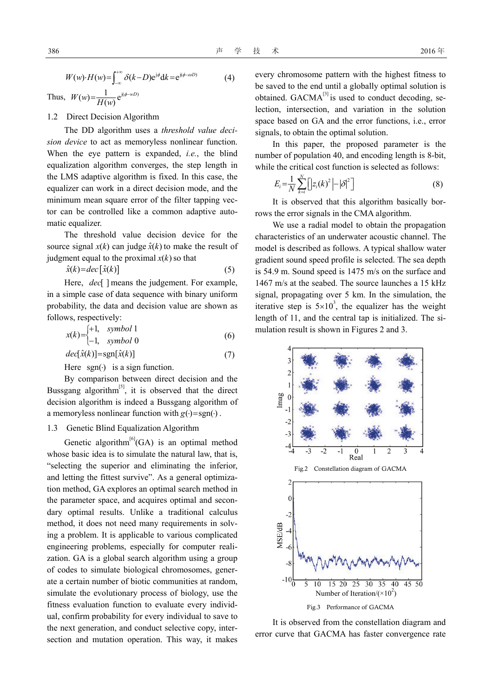$$
W(w) \cdot H(w) = \int_{-\infty}^{+\infty} \delta(k-D) e^{j\phi} dk = e^{j(\phi - \omega D)}
$$
(4)

Thus,  $W(w) = \frac{1}{H(w)} e^{j(\phi - wD)}$ 

1.2 Direct Decision Algorithm

The DD algorithm uses a *threshold value decision device* to act as memoryless nonlinear function. When the eye pattern is expanded, *i.e.*, the blind equalization algorithm converges, the step length in the LMS adaptive algorithm is fixed. In this case, the equalizer can work in a direct decision mode, and the minimum mean square error of the filter tapping vector can be controlled like a common adaptive automatic equalizer.

The threshold value decision device for the source signal  $x(k)$  can judge  $\hat{x}(k)$  to make the result of judgment equal to the proximal  $x(k)$  so that

$$
\hat{x}(k) = dec \left[ \hat{x}(k) \right] \tag{5}
$$

Here, *dec* ] means the judgement. For example, in a simple case of data sequence with binary uniform probability, the data and decision value are shown as follows, respectively:

$$
x(k) = \begin{cases} +1, & symbol 1\\ -1, & symbol 0 \end{cases}
$$
 (6)

$$
dec[\hat{x}(k)] = sgn[\hat{x}(k)]\tag{7}
$$

Here  $sgn(\cdot)$  is a sign function.

By comparison between direct decision and the Bussgang algorithm $^{[5]}$ , it is observed that the direct decision algorithm is indeed a Bussgang algorithm of a memoryless nonlinear function with  $g(\cdot) = sgn(\cdot)$ .

#### 1.3 Genetic Blind Equalization Algorithm

Genetic algorithm<sup>[6]</sup>(GA) is an optimal method whose basic idea is to simulate the natural law, that is, "selecting the superior and eliminating the inferior, and letting the fittest survive". As a general optimization method, GA explores an optimal search method in the parameter space, and acquires optimal and secondary optimal results. Unlike a traditional calculus method, it does not need many requirements in solving a problem. It is applicable to various complicated engineering problems, especially for computer realization. GA is a global search algorithm using a group of codes to simulate biological chromosomes, generate a certain number of biotic communities at random, simulate the evolutionary process of biology, use the fitness evaluation function to evaluate every individual, confirm probability for every individual to save to the next generation, and conduct selective copy, intersection and mutation operation. This way, it makes every chromosome pattern with the highest fitness to be saved to the end until a globally optimal solution is obtained.  $GACMA^{[3]}$  is used to conduct decoding, selection, intersection, and variation in the solution space based on GA and the error functions, i.e., error signals, to obtain the optimal solution.

In this paper, the proposed parameter is the number of population 40, and encoding length is 8-bit, while the critical cost function is selected as follows:

$$
E_i = \frac{1}{N} \sum_{k=i}^{N} \left[ \left| z_i(k)^2 \right| - \left| \delta \right|^2 \right] \tag{8}
$$

It is observed that this algorithm basically borrows the error signals in the CMA algorithm.

We use a radial model to obtain the propagation characteristics of an underwater acoustic channel. The model is described as follows. A typical shallow water gradient sound speed profile is selected. The sea depth is 54.9 m. Sound speed is 1475 m/s on the surface and 1467 m/s at the seabed. The source launches a 15 kHz signal, propagating over 5 km. In the simulation, the iterative step is  $5 \times 10^3$ , the equalizer has the weight length of 11, and the central tap is initialized. The simulation result is shown in Figures 2 and 3.



It is observed from the constellation diagram and error curve that GACMA has faster convergence rate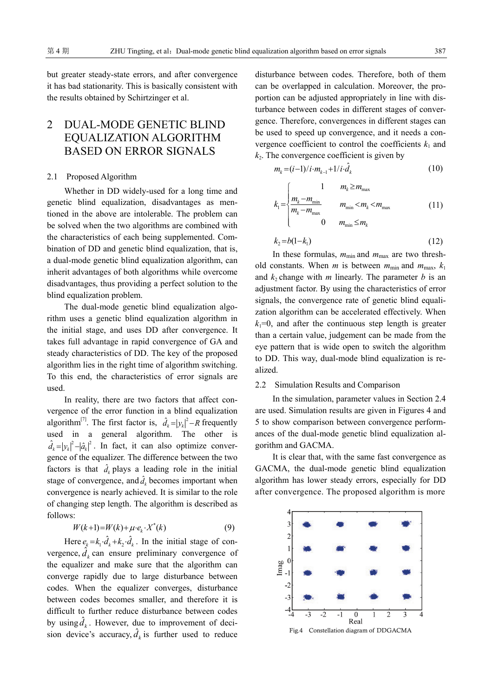but greater steady-state errors, and after convergence it has bad stationarity. This is basically consistent with the results obtained by Schirtzinger et al.

## 2 DUAL-MODE GENETIC BLIND EQUALIZATION ALGORITHM BASED ON ERROR SIGNALS

#### 2.1 Proposed Algorithm

Whether in DD widely-used for a long time and genetic blind equalization, disadvantages as mentioned in the above are intolerable. The problem can be solved when the two algorithms are combined with the characteristics of each being supplemented. Combination of DD and genetic blind equalization, that is, a dual-mode genetic blind equalization algorithm, can inherit advantages of both algorithms while overcome disadvantages, thus providing a perfect solution to the blind equalization problem.

The dual-mode genetic blind equalization algorithm uses a genetic blind equalization algorithm in the initial stage, and uses DD after convergence. It takes full advantage in rapid convergence of GA and steady characteristics of DD. The key of the proposed algorithm lies in the right time of algorithm switching. To this end, the characteristics of error signals are used.

In reality, there are two factors that affect convergence of the error function in a blind equalization algorithm<sup>[7]</sup>. The first factor is,  $\hat{d}_k = |y_k|^2 - R$  frequently used in a general algorithm. The other is  $\hat{d}_k = |y_k|^2 - |\hat{a}_k|^2$ . In fact, it can also optimize convergence of the equalizer. The difference between the two factors is that  $\hat{d}_k$  plays a leading role in the initial stage of convergence, and  $\hat{d}_k$  becomes important when convergence is nearly achieved. It is similar to the role of changing step length. The algorithm is described as follows:<br>  $W(k+1) = W(k) + \mu \cdot e_k \cdot X^*(k)$  (9)

$$
W(k+1) = W(k) + \mu \cdot e_k \cdot X^*(k) \tag{9}
$$

Here  $e_k = k_1 \cdot \hat{d}_k + k_2 \cdot \hat{d}_k$ . In the initial stage of convergence,  $\hat{d}_k$  can ensure preliminary convergence of the equalizer and make sure that the algorithm can converge rapidly due to large disturbance between codes. When the equalizer converges, disturbance between codes becomes smaller, and therefore it is difficult to further reduce disturbance between codes by using  $\hat{d}_k$ . However, due to improvement of decision device's accuracy,  $\hat{d}_k$  is further used to reduce disturbance between codes. Therefore, both of them can be overlapped in calculation. Moreover, the proportion can be adjusted appropriately in line with disturbance between codes in different stages of convergence. Therefore, convergences in different stages can be used to speed up convergence, and it needs a convergence coefficient to control the coefficients  $k_1$  and  $k<sub>2</sub>$ . The convergence coefficient is given by

$$
m_{k} = (i-1)/i \cdot m_{k-1} + 1/i \cdot \hat{d}_{k}
$$
 (10)

$$
k_{1} = \begin{cases} 1 & m_{k} \ge m_{\text{max}} \\ \frac{m_{k} - m_{\text{min}}}{m_{k} - m_{\text{max}}} & m_{\text{min}} < m_{k} < m_{\text{max}} \\ 0 & m_{\text{min}} \le m_{k} \end{cases} \tag{11}
$$

$$
k_2 = b(1-k_1) \tag{12}
$$

In these formulas,  $m_{min}$  and  $m_{max}$  are two threshold constants. When *m* is between  $m_{\text{min}}$  and  $m_{\text{max}}$ ,  $k_1$ and  $k_2$  change with *m* linearly. The parameter *b* is an adjustment factor. By using the characteristics of error signals, the convergence rate of genetic blind equalization algorithm can be accelerated effectively. When  $k_1=0$ , and after the continuous step length is greater than a certain value, judgement can be made from the eye pattern that is wide open to switch the algorithm to DD. This way, dual-mode blind equalization is realized.

### 2.2 Simulation Results and Comparison

In the simulation, parameter values in Section 2.4 are used. Simulation results are given in Figures 4 and 5 to show comparison between convergence performances of the dual-mode genetic blind equalization algorithm and GACMA.

It is clear that, with the same fast convergence as GACMA, the dual-mode genetic blind equalization algorithm has lower steady errors, especially for DD after convergence. The proposed algorithm is more